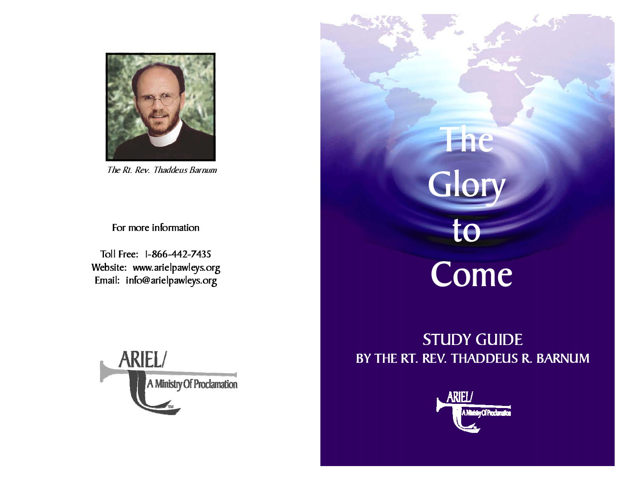

The Rt. Rev. Thaddeus Barnum

For more information

Toll Free: 1-866-442-7435 Website: www.arielpawleys.org Email: info@arielpawleys.org



# The **Glory** to Come

# STUDY GUIDE BY THE RT. REV. THADDEUS R. BARNUM

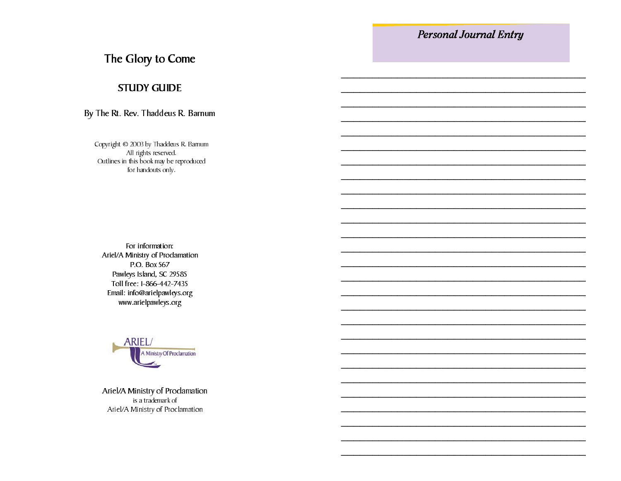# The Glory to Come

# **STUDY GUIDE**

## By The Rt. Rev. Thaddeus R. Barnum

Copyright © 2003 by Thaddeus R. Barnum All rights reserved. Outlines in this book may be reproduced for handouts only.

For information: Ariel/A Ministry of Proclamation P.O. Box 567 Pawleys Island, SC 29585 Toll free: 1-866-442-7435 Email: info@arielpawleys.org www.arielpawleys.org



Ariel/A Ministry of Proclamation is a trademark of Ariel/A Ministry of Proclamation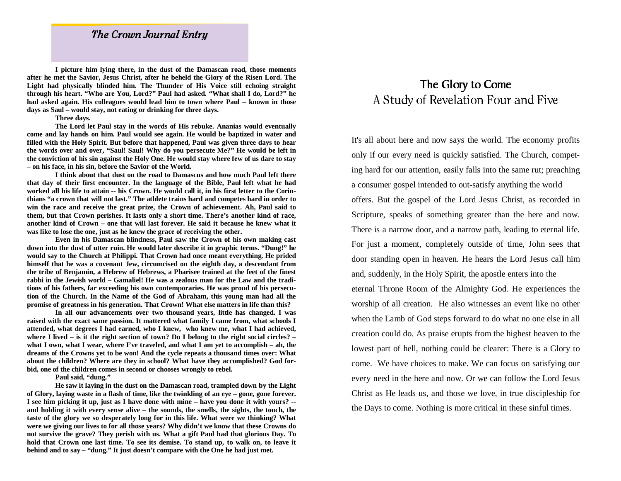# The Crown Journal Entry

**I picture him lying there, in the dust of the Damascan road, those moments after he met the Savior, Jesus Christ, after he beheld the Glory of the Risen Lord. The Light had physically blinded him. The Thunder of His Voice still echoing straight through his heart. "Who are You, Lord?" Paul had asked. "What shall I do, Lord?" he had asked again. His colleagues would lead him to town where Paul – known in those days as Saul – would stay, not eating or drinking for three days.** 

#### **Three days.**

 **The Lord let Paul stay in the words of His rebuke. Ananias would eventually come and lay hands on him. Paul would see again. He would be baptized in water and filled with the Holy Spirit. But before that happened, Paul was given three days to hear the words over and over, "Saul! Saul! Why do you persecute Me?" He would be left in the conviction of his sin against the Holy One. He would stay where few of us dare to stay – on his face, in his sin, before the Savior of the World.** 

 **I think about that dust on the road to Damascus and how much Paul left there that day of their first encounter. In the language of the Bible, Paul left what he had worked all his life to attain -- his Crown. He would call it, in his first letter to the Corinthians "a crown that will not last." The athlete trains hard and competes hard in order to win the race and receive the great prize, the Crown of achievement. Ah, Paul said to them, but that Crown perishes. It lasts only a short time. There's another kind of race, another kind of Crown – one that will last forever. He said it because he knew what it was like to lose the one, just as he knew the grace of receiving the other.** 

 **Even in his Damascan blindness, Paul saw the Crown of his own making cast down into the dust of utter ruin. He would later describe it in graphic terms. "Dung!" he would say to the Church at Philippi. That Crown had once meant everything. He prided himself that he was a covenant Jew, circumcised on the eighth day, a descendant from the tribe of Benjamin, a Hebrew of Hebrews, a Pharisee trained at the feet of the finest rabbi in the Jewish world – Gamaliel! He was a zealous man for the Law and the traditions of his fathers, far exceeding his own contemporaries. He was proud of his persecution of the Church. In the Name of the God of Abraham, this young man had all the promise of greatness in his generation. That Crown! What else matters in life than this?**

**In all our advancements over two thousand years, little has changed. I was raised with the exact same passion. It mattered what family I came from, what schools I attended, what degrees I had earned, who I knew, who knew me, what I had achieved, where I lived – is it the right section of town? Do I belong to the right social circles? – what I own, what I wear, where I've traveled, and what I am yet to accomplish – ah, the dreams of the Crowns yet to be won! And the cycle repeats a thousand times over: What about the children? Where are they in school? What have they accomplished? God forbid, one of the children comes in second or chooses wrongly to rebel.** 

 **Paul said, "dung."** 

**He saw it laying in the dust on the Damascan road, trampled down by the Light of Glory, laying waste in a flash of time, like the twinkling of an eye – gone, gone forever. I see him picking it up, just as I have done with mine – have you done it with yours? - and holding it with every sense alive – the sounds, the smells, the sights, the touch, the taste of the glory we so desperately long for in this life. What were we thinking? What were we giving our lives to for all those years? Why didn't we know that these Crowns do not survive the grave? They perish with us. What a gift Paul had that glorious Day. To hold that Crown one last time. To see its demise. To stand up, to walk on, to leave it behind and to say – "dung." It just doesn't compare with the One he had just met.** 

# The Glory to Come A Study of Revelation Four and Five

It's all about here and now says the world. The economy profits only if our every need is quickly satisfied. The Church, competing hard for our attention, easily falls into the same rut; preaching a consumer gospel intended to out-satisfy anything the world offers. But the gospel of the Lord Jesus Christ, as recorded in Scripture, speaks of something greater than the here and now. There is a narrow door, and a narrow path, leading to eternal life. For just a moment, completely outside of time, John sees that door standing open in heaven. He hears the Lord Jesus call him and, suddenly, in the Holy Spirit, the apostle enters into the eternal Throne Room of the Almighty God. He experiences the worship of all creation. He also witnesses an event like no other when the Lamb of God steps forward to do what no one else in all creation could do. As praise erupts from the highest heaven to the lowest part of hell, nothing could be clearer: There is a Glory to come. We have choices to make. We can focus on satisfying our every need in the here and now. Or we can follow the Lord Jesus Christ as He leads us, and those we love, in true discipleship for the Days to come. Nothing is more critical in these sinful times.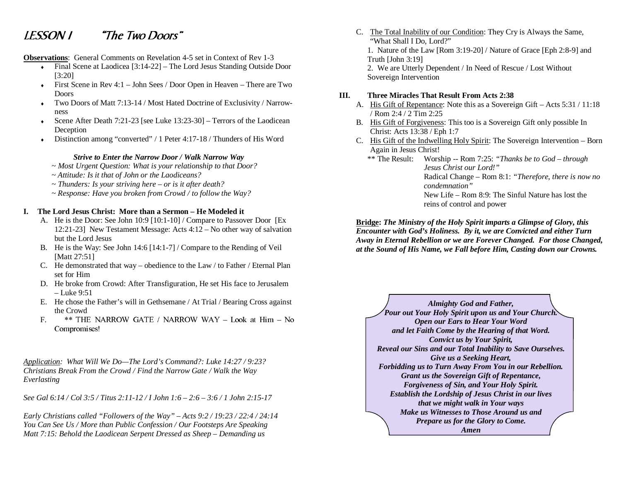# LESSON 1 "The Two Doors"

**Observations**: General Comments on Revelation 4-5 set in Context of Rev 1-3

- Final Scene at Laodicea [3:14-22] The Lord Jesus Standing Outside Door [3:20]
- $\bullet$  First Scene in Rev 4:1 John Sees / Door Open in Heaven There are Two Doors
- ♦ Two Doors of Matt 7:13-14 / Most Hated Doctrine of Exclusivity / Narrowness
- Scene After Death 7:21-23 [see Luke 13:23-30] Terrors of the Laodicean Deception
- Distinction among "converted" / 1 Peter 4:17-18 / Thunders of His Word

#### *Strive to Enter the Narrow Door / Walk Narrow Way*

- *~ Most Urgent Question: What is your relationship to that Door?*
- *~ Attitude: Is it that of John or the Laodiceans?*
- *~ Thunders: Is your striving here or is it after death?*
- *~ Response: Have you broken from Crowd / to follow the Way?*

#### **I. The Lord Jesus Christ: More than a Sermon – He Modeled it**

- A. He is the Door: See John 10:9 [10:1-10] / Compare to Passover Door [Ex 12:21-23] New Testament Message: Acts 4:12 – No other way of salvation but the Lord Jesus
- B. He is the Way: See John 14:6 [14:1-7] / Compare to the Rending of Veil [Matt 27:51]
- C. He demonstrated that way obedience to the Law / to Father / Eternal Plan set for Him
- D. He broke from Crowd: After Transfiguration, He set His face to Jerusalem – Luke 9:51
- E. He chose the Father's will in Gethsemane / At Trial / Bearing Cross against the Crowd
- F. \*\* THE NARROW GATE / NARROW WAY Look at Him No Compromises!

*Application: What Will We Do—The Lord's Command?: Luke 14:27 / 9:23? Christians Break From the Crowd / Find the Narrow Gate / Walk the Way Everlasting* 

*See Gal 6:14 / Col 3:5 / Titus 2:11-12 / I John 1:6 – 2:6 – 3:6 / 1 John 2:15-17* 

*Early Christians called "Followers of the Way" – Acts 9:2 / 19:23 / 22:4 / 24:14 You Can See Us / More than Public Confession / Our Footsteps Are Speaking Matt 7:15: Behold the Laodicean Serpent Dressed as Sheep – Demanding us* 

C. The Total Inability of our Condition: They Cry is Always the Same, "What Shall I Do, Lord?" 1. Nature of the Law [Rom 3:19-20] / Nature of Grace [Eph 2:8-9] and Truth [John 3:19] 2. We are Utterly Dependent / In Need of Rescue / Lost Without Sovereign Intervention

#### **III. Three Miracles That Result From Acts 2:38**

- A. His Gift of Repentance: Note this as a Sovereign Gift Acts 5:31 / 11:18 / Rom 2:4 / 2 Tim 2:25
- B. His Gift of Forgiveness: This too is a Sovereign Gift only possible In Christ: Acts 13:38 / Eph 1:7
- C. His Gift of the Indwelling Holy Spirit: The Sovereign Intervention Born Again in Jesus Christ!
	- \*\* The Result: Worship -- Rom 7:25: *"Thanks be to God through Jesus Christ our Lord!"* Radical Change – Rom 8:1: *"Therefore, there is now no condemnation"*New Life – Rom 8:9: The Sinful Nature has lost the

reins of control and power

**Bridge:** *The Ministry of the Holy Spirit imparts a Glimpse of Glory, this Encounter with God's Holiness. By it, we are Convicted and either Turn Away in Eternal Rebellion or we are Forever Changed. For those Changed, at the Sound of His Name, we Fall before Him, Casting down our Crowns.* 

*Almighty God and Father, Pour out Your Holy Spirit upon us and Your Church. Open our Ears to Hear Your Word and let Faith Come by the Hearing of that Word. Convict us by Your Spirit, Reveal our Sins and our Total Inability to Save Ourselves. Give us a Seeking Heart, Forbidding us to Turn Away From You in our Rebellion. Grant us the Sovereign Gift of Repentance, Forgiveness of Sin, and Your Holy Spirit. Establish the Lordship of Jesus Christ in our lives that we might walk in Your ways Make us Witnesses to Those Around us and Prepare us for the Glory to Come. Amen*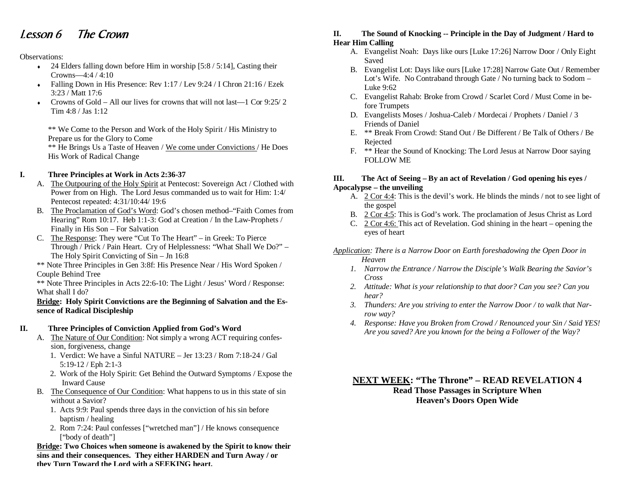# Lesson 6 The Crown

#### Observations:

- $\bullet$  24 Elders falling down before Him in worship [5:8 / 5:14]. Casting their Crowns—4:4 / 4:10
- Falling Down in His Presence: Rev 1:17 / Lev 9:24 / I Chron 21:16 / Ezek 3:23 / Matt 17:6
- Crowns of Gold All our lives for crowns that will not last—1 Cor 9:25/ 2 Tim 4:8 / Jas 1:12

\*\* We Come to the Person and Work of the Holy Spirit / His Ministry to Prepare us for the Glory to Come

\*\* He Brings Us a Taste of Heaven / We come under Convictions / He Does His Work of Radical Change

#### **I. Three Principles at Work in Acts 2:36-37**

- A. The Outpouring of the Holy Spirit at Pentecost: Sovereign Act / Clothed with Power from on High. The Lord Jesus commanded us to wait for Him: 1:4/ Pentecost repeated: 4:31/10:44/ 19:6
- B. The Proclamation of God's Word: God's chosen method–"Faith Comes from Hearing" Rom 10:17. Heb 1:1-3: God at Creation / In the Law-Prophets / Finally in His Son – For Salvation
- C. The Response: They were "Cut To The Heart" in Greek: To Pierce Through / Prick / Pain Heart. Cry of Helplessness: "What Shall We Do?" – The Holy Spirit Convicting of Sin – Jn 16:8

\*\* Note Three Principles in Gen 3:8f: His Presence Near / His Word Spoken / Couple Behind Tree

\*\* Note Three Principles in Acts 22:6-10: The Light / Jesus' Word / Response: What shall I do?

#### **Bridge: Holy Spirit Convictions are the Beginning of Salvation and the Essence of Radical Discipleship**

#### **II. Three Principles of Conviction Applied from God's Word**

- A. The Nature of Our Condition: Not simply a wrong ACT requiring confession, forgiveness, change
- 1. Verdict: We have a Sinful NATURE Jer 13:23 / Rom 7:18-24 / Gal 5:19-12 / Eph 2:1-3
	- 2. Work of the Holy Spirit: Get Behind the Outward Symptoms / Expose the Inward Cause
- B. The Consequence of Our Condition: What happens to us in this state of sin without a Savior?
	- 1. Acts 9:9: Paul spends three days in the conviction of his sin before baptism / healing
	- 2. Rom 7:24: Paul confesses ["wretched man"] / He knows consequence ["body of death"]

**Bridge: Two Choices when someone is awakened by the Spirit to know their sins and their consequences. They either HARDEN and Turn Away / or they Turn Toward the Lord with a SEEKING heart.**

#### **II. The Sound of Knocking -- Principle in the Day of Judgment / Hard to Hear Him Calling**

- A. Evangelist Noah: Days like ours [Luke 17:26] Narrow Door / Only Eight Saved
- B. Evangelist Lot: Days like ours [Luke 17:28] Narrow Gate Out / Remember Lot's Wife. No Contraband through Gate / No turning back to Sodom – Luke 9:62
- C. Evangelist Rahab: Broke from Crowd / Scarlet Cord / Must Come in before Trumpets
- D. Evangelists Moses / Joshua-Caleb / Mordecai / Prophets / Daniel / 3 Friends of Daniel
- E. \*\* Break From Crowd: Stand Out / Be Different / Be Talk of Others / Be Rejected
- F. \*\* Hear the Sound of Knocking: The Lord Jesus at Narrow Door saying FOLLOW ME

#### **III. The Act of Seeing – By an act of Revelation / God opening his eyes / Apocalypse – the unveiling**

- A. 2 Cor 4:4: This is the devil's work. He blinds the minds / not to see light of the gospel
- B. 2 Cor 4:5: This is God's work. The proclamation of Jesus Christ as Lord
- C. 2 Cor 4:6: This act of Revelation. God shining in the heart opening the eyes of heart
- *Application: There is a Narrow Door on Earth foreshadowing the Open Door in Heaven* 
	- *1. Narrow the Entrance / Narrow the Disciple's Walk Bearing the Savior's Cross*
	- *2. Attitude: What is your relationship to that door? Can you see? Can you hear?*
	- *3. Thunders: Are you striving to enter the Narrow Door / to walk that Narrow way?*
	- *4. Response: Have you Broken from Crowd / Renounced your Sin / Said YES! Are you saved? Are you known for the being a Follower of the Way?*

**NEXT WEEK: "The Throne" – READ REVELATION 4 Read Those Passages in Scripture When Heaven's Doors Open Wide**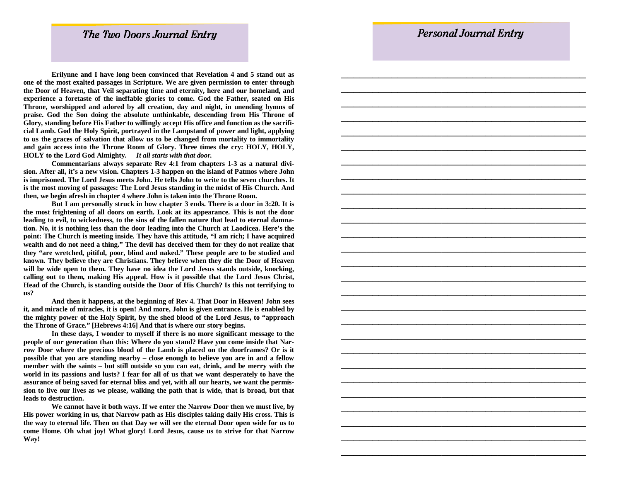\_\_\_\_\_\_\_\_\_\_\_\_\_\_\_\_\_\_\_\_\_\_\_\_\_\_\_\_\_\_\_\_\_\_\_\_\_\_\_

## The Two Doors Journal Entry

 **Erilynne and I have long been convinced that Revelation 4 and 5 stand out as one of the most exalted passages in Scripture. We are given permission to enter through the Door of Heaven, that Veil separating time and eternity, here and our homeland, and experience a foretaste of the ineffable glories to come. God the Father, seated on His Throne, worshipped and adored by all creation, day and night, in unending hymns of praise. God the Son doing the absolute unthinkable, descending from His Throne of Glory, standing before His Father to willingly accept His office and function as the sacrificial Lamb. God the Holy Spirit, portrayed in the Lampstand of power and light, applying to us the graces of salvation that allow us to be changed from mortality to immortality and gain access into the Throne Room of Glory. Three times the cry: HOLY, HOLY, HOLY to the Lord God Almighty.** *It all starts with that door.*

 **Commentarians always separate Rev 4:1 from chapters 1-3 as a natural division. After all, it's a new vision. Chapters 1-3 happen on the island of Patmos where John is imprisoned. The Lord Jesus meets John. He tells John to write to the seven churches. It is the most moving of passages: The Lord Jesus standing in the midst of His Church. And then, we begin afresh in chapter 4 where John is taken into the Throne Room.** 

 **But I am personally struck in how chapter 3 ends. There is a door in 3:20. It is the most frightening of all doors on earth. Look at its appearance. This is not the door leading to evil, to wickedness, to the sins of the fallen nature that lead to eternal damnation. No, it is nothing less than the door leading into the Church at Laodicea. Here's the point: The Church is meeting inside. They have this attitude, "I am rich; I have acquired wealth and do not need a thing." The devil has deceived them for they do not realize that they "are wretched, pitiful, poor, blind and naked." These people are to be studied and known. They believe they are Christians. They believe when they die the Door of Heaven will be wide open to them. They have no idea the Lord Jesus stands outside, knocking, calling out to them, making His appeal. How is it possible that the Lord Jesus Christ, Head of the Church, is standing outside the Door of His Church? Is this not terrifying to us?** 

 **And then it happens, at the beginning of Rev 4. That Door in Heaven! John sees it, and miracle of miracles, it is open! And more, John is given entrance. He is enabled by the mighty power of the Holy Spirit, by the shed blood of the Lord Jesus, to "approach the Throne of Grace." [Hebrews 4:16] And that is where our story begins.** 

 **In these days, I wonder to myself if there is no more significant message to the people of our generation than this: Where do you stand? Have you come inside that Narrow Door where the precious blood of the Lamb is placed on the doorframes? Or is it possible that you are standing nearby – close enough to believe you are in and a fellow member with the saints – but still outside so you can eat, drink, and be merry with the world in its passions and lusts? I fear for all of us that we want desperately to have the assurance of being saved for eternal bliss and yet, with all our hearts, we want the permission to live our lives as we please, walking the path that is wide, that is broad, but that leads to destruction.** 

 **We cannot have it both ways. If we enter the Narrow Door then we must live, by His power working in us, that Narrow path as His disciples taking daily His cross. This is the way to eternal life. Then on that Day we will see the eternal Door open wide for us to come Home. Oh what joy! What glory! Lord Jesus, cause us to strive for that Narrow Way!**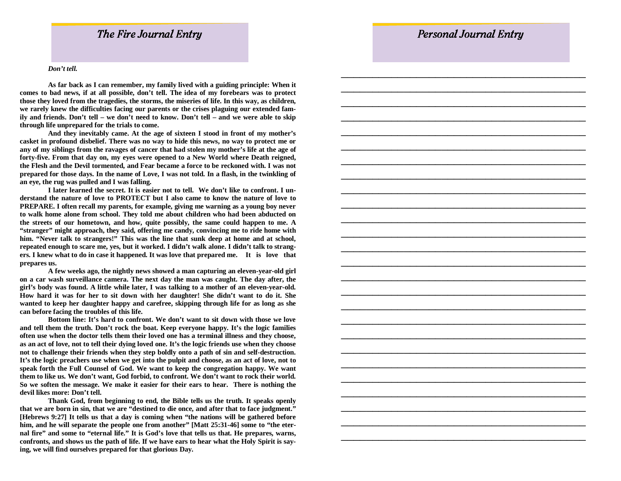\_\_\_\_\_\_\_\_\_\_\_\_\_\_\_\_\_\_\_\_\_\_\_\_\_\_\_\_\_\_\_\_\_\_\_\_\_\_\_

## The Fire Journal Entry

#### *Don't tell.*

 **As far back as I can remember, my family lived with a guiding principle: When it comes to bad news, if at all possible, don't tell. The idea of my forebears was to protect those they loved from the tragedies, the storms, the miseries of life. In this way, as children, we rarely knew the difficulties facing our parents or the crises plaguing our extended family and friends. Don't tell – we don't need to know. Don't tell – and we were able to skip through life unprepared for the trials to come.** 

 **And they inevitably came. At the age of sixteen I stood in front of my mother's casket in profound disbelief. There was no way to hide this news, no way to protect me or any of my siblings from the ravages of cancer that had stolen my mother's life at the age of forty-five. From that day on, my eyes were opened to a New World where Death reigned, the Flesh and the Devil tormented, and Fear became a force to be reckoned with. I was not prepared for those days. In the name of Love, I was not told. In a flash, in the twinkling of an eye, the rug was pulled and I was falling.** 

 **I later learned the secret. It is easier not to tell. We don't like to confront. I understand the nature of love to PROTECT but I also came to know the nature of love to PREPARE. I often recall my parents, for example, giving me warning as a young boy never to walk home alone from school. They told me about children who had been abducted on the streets of our hometown, and how, quite possibly, the same could happen to me. A "stranger" might approach, they said, offering me candy, convincing me to ride home with him. "Never talk to strangers!" This was the line that sunk deep at home and at school, repeated enough to scare me, yes, but it worked. I didn't walk alone. I didn't talk to strangers. I knew what to do in case it happened. It was love that prepared me. It is love that prepares us.** 

 **A few weeks ago, the nightly news showed a man capturing an eleven-year-old girl on a car wash surveillance camera. The next day the man was caught. The day after, the girl's body was found. A little while later, I was talking to a mother of an eleven-year-old. How hard it was for her to sit down with her daughter! She didn't want to do it. She wanted to keep her daughter happy and carefree, skipping through life for as long as she can before facing the troubles of this life.** 

 **Bottom line: It's hard to confront. We don't want to sit down with those we love and tell them the truth. Don't rock the boat. Keep everyone happy. It's the logic families often use when the doctor tells them their loved one has a terminal illness and they choose, as an act of love, not to tell their dying loved one. It's the logic friends use when they choose not to challenge their friends when they step boldly onto a path of sin and self-destruction. It's the logic preachers use when we get into the pulpit and choose, as an act of love, not to speak forth the Full Counsel of God. We want to keep the congregation happy. We want them to like us. We don't want, God forbid, to confront. We don't want to rock their world. So we soften the message. We make it easier for their ears to hear. There is nothing the devil likes more: Don't tell.** 

 **Thank God, from beginning to end, the Bible tells us the truth. It speaks openly that we are born in sin, that we are "destined to die once, and after that to face judgment." [Hebrews 9:27] It tells us that a day is coming when "the nations will be gathered before**  him, and he will separate the people one from another" [Matt 25:31-46] some to "the eter**nal fire" and some to "eternal life." It is God's love that tells us that. He prepares, warns, confronts, and shows us the path of life. If we have ears to hear what the Holy Spirit is saying, we will find ourselves prepared for that glorious Day.**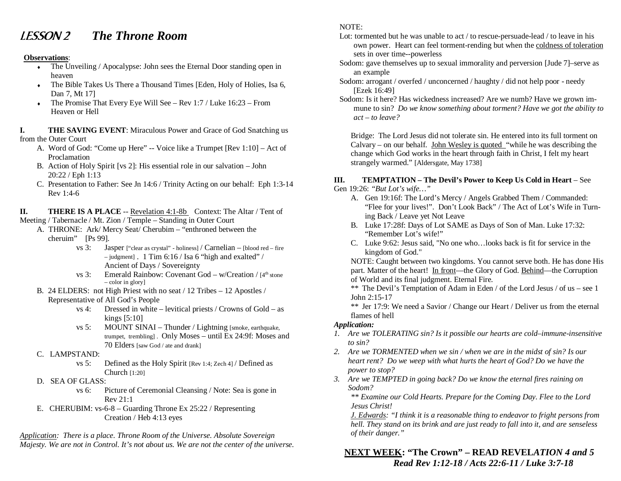# LESSON 2 *The Throne Room*

#### **Observations**:

- The Unveiling / Apocalypse: John sees the Eternal Door standing open in heaven
- The Bible Takes Us There a Thousand Times [Eden, Holy of Holies, Isa 6, Dan 7, Mt 17]
- $\bullet$  The Promise That Every Eye Will See Rev 1:7 / Luke 16:23 From Heaven or Hell

**I. THE SAVING EVENT**: Miraculous Power and Grace of God Snatching us from the Outer Court

- A. Word of God: "Come up Here" -- Voice like a Trumpet [Rev 1:10] Act of Proclamation
- B. Action of Holy Spirit [vs 2]: His essential role in our salvation John 20:22 / Eph 1:13
- C. Presentation to Father: See Jn 14:6 / Trinity Acting on our behalf: Eph 1:3-14 Rev 1:4-6

**II.** THERE IS A PLACE -- Revelation 4:1-8b Context: The Altar / Tent of

- Meeting / Tabernacle / Mt. Zion / Temple Standing in Outer Court
	- A. THRONE: Ark/ Mercy Seat/ Cherubim "enthroned between the cheruim" [Ps 99].
		- vs 3: Jasper ["clear as crystal" holiness] / Carnelian [blood red fire  $-$  judgment] . 1 Tim 6:16 / Isa 6 "high and exalted" / Ancient of Days / Sovereignty
		- vs 3: Emerald Rainbow: Covenant God w/Creation /  $[4<sup>th</sup>$  stone – color in glory]
	- B. 24 ELDERS: not High Priest with no seat / 12 Tribes 12 Apostles / Representative of All God's People
		- vs 4: Dressed in white levitical priests / Crowns of Gold as kings [5:10]
		- vs 5: MOUNT SINAI Thunder / Lightning [smoke, earthquake, trumpet, trembling] . Only Moses – until Ex 24:9f: Moses and 70 Elders [saw God / ate and drank]
	- C. LAMPSTAND:
		- vs 5: Defined as the Holy Spirit [Rev 1:4; Zech 4] / Defined as Church [1:20]
	- D. SEA OF GLASS:
		- vs 6: Picture of Ceremonial Cleansing / Note: Sea is gone in Rev 21:1
	- E. CHERUBIM: vs-6-8 Guarding Throne Ex 25:22 / Representing Creation / Heb 4:13 eyes

*Application: There is a place. Throne Room of the Universe. Absolute Sovereign Majesty. We are not in Control. It's not about us. We are not the center of the universe.*

#### NOTE:

- Lot: tormented but he was unable to act / to rescue-persuade-lead / to leave in his own power. Heart can feel torment-rending but when the coldness of toleration sets in over time--powerless
- Sodom: gave themselves up to sexual immorality and perversion [Jude 7]–serve as an example
- Sodom: arrogant / overfed / unconcerned / haughty / did not help poor needy [Ezek 16:49]
- Sodom: Is it here? Has wickedness increased? Are we numb? Have we grown immune to sin? *Do we know something about torment? Have we got the ability to act – to leave?*

Bridge: The Lord Jesus did not tolerate sin. He entered into its full torment on Calvary – on our behalf. John Wesley is quoted "while he was describing the change which God works in the heart through faith in Christ, I felt my heart strangely warmed." [Aldersgate, May 1738]

# **III. TEMPTATION – The Devil's Power to Keep Us Cold in Heart** – See

- Gen 19:26: *"But Lot's wife…"*
	- A. Gen 19:16f: The Lord's Mercy / Angels Grabbed Them / Commanded: "Flee for your lives!". Don't Look Back" / The Act of Lot's Wife in Turning Back / Leave yet Not Leave
	- B. Luke 17:28f: Days of Lot SAME as Days of Son of Man. Luke 17:32: "Remember Lot's wife!"
	- C. Luke 9:62: Jesus said, "No one who…looks back is fit for service in the kingdom of God."

NOTE: Caught between two kingdoms. You cannot serve both. He has done His part. Matter of the heart! In front—the Glory of God. Behind—the Corruption of World and its final judgment. Eternal Fire.

\*\* The Devil's Temptation of Adam in Eden / of the Lord Jesus / of us – see 1 John 2:15-17

\*\* Jer 17:9: We need a Savior / Change our Heart / Deliver us from the eternal flames of hell

#### *Application:*

- *1. Are we TOLERATING sin? Is it possible our hearts are cold–immune-insensitive to sin?*
- *2. Are we TORMENTED when we sin / when we are in the midst of sin? Is our heart rent? Do we weep with what hurts the heart of God? Do we have the power to stop?*
- *3. Are we TEMPTED in going back? Do we know the eternal fires raining on Sodom?*

*\*\* Examine our Cold Hearts. Prepare for the Coming Day. Flee to the Lord Jesus Christ!* 

*J. Edwards: "I think it is a reasonable thing to endeavor to fright persons from hell. They stand on its brink and are just ready to fall into it, and are senseless of their danger."* 

# **NEXT WEEK: "The Crown" – READ REVEL***ATION 4 and 5 Read Rev 1:12-18 / Acts 22:6-11 / Luke 3:7-18*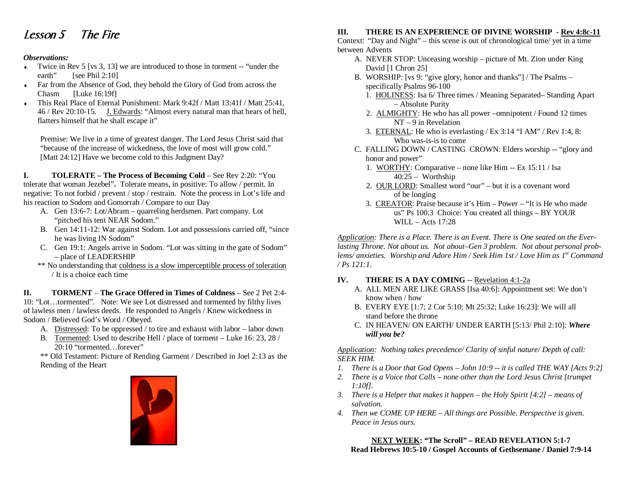# Lesson 5 The Fire

#### *Observations:*

- Twice in Rev 5 [vs 3, 13] we are introduced to those in torment -- "under the earth" [see Phil 2:10]
- ♦ Far from the Absence of God, they behold the Glory of God from across the Chasm [Luke 16:19f]
- This Real Place of Eternal Punishment: Mark 9:42f / Matt 13:41f / Matt 25:41, 46 / Rev 20:10-15. J. Edwards: "Almost every natural man that hears of hell, flatters himself that he shall escape it"

Premise: We live in a time of greatest danger. The Lord Jesus Christ said that "because of the increase of wickedness, the love of most will grow cold." [Matt 24:12] Have we become cold to this Judgment Day?

**I. TOLERATE – The Process of Becoming Cold** – See Rev 2:20: "You tolerate that woman Jezebel"**.** Tolerate means, in positive: To allow / permit. In negative: To not forbid / prevent / stop / restrain. Note the process in Lot's life and his reaction to Sodom and Gomorrah / Compare to our Day

- A. Gen 13:6-7: Lot/Abram quarreling herdsmen. Part company. Lot "pitched his tent NEAR Sodom."
- B. Gen 14:11-12: War against Sodom. Lot and possessions carried off, "since he was living IN Sodom"
- C. Gen 19:1: Angels arrive in Sodom. "Lot was sitting in the gate of Sodom" – place of LEADERSHIP
- \*\* No understanding that coldness is a slow imperceptible process of toleration / It is a choice each time

**II. TORMENT** – **The Grace Offered in Times of Coldness** – See 2 Pet 2:4-10: "Lot…tormented". Note: We see Lot distressed and tormented by filthy lives of lawless men / lawless deeds. He responded to Angels / Knew wickedness in Sodom / Believed God's Word / Obeyed.

- A. Distressed: To be oppressed / to tire and exhaust with labor labor down
- B. Tormented: Used to describe Hell / place of torment Luke 16: 23, 28 / 20:10 "tormented…forever"

\*\* Old Testament: Picture of Rending Garment / Described in Joel 2:13 as the Rending of the Heart



# **III. THERE IS AN EXPERIENCE OF DIVINE WORSHIP - Rev 4:8c-11**

Context: "Day and Night" – this scene is out of chronological time/ yet in a time between Advents

- A. NEVER STOP: Unceasing worship picture of Mt. Zion under King David [1 Chron 25]
- B. WORSHIP: [vs 9: "give glory, honor and thanks"] / The Psalms specifically Psalms 96-100
	- 1. HOLINESS: Isa 6/ Three times / Meaning Separated– Standing Apart – Absolute Purity
	- 2. ALMIGHTY: He who has all power –omnipotent / Found 12 times NT – 9 in Revelation
	- 3. ETERNAL: He who is everlasting / Ex 3:14 "I AM" / Rev 1:4, 8: Who was-is-is to come
- C. FALLING DOWN / CASTING CROWN: Elders worship -- "glory and honor and power"
	- 1. WORTHY: Comparative none like Him -- Ex 15:11 / Isa 40:25 – Worthship
- 2. OUR LORD: Smallest word "our" but it is a covenant word of be longing
- 3. CREATOR: Praise because it's Him Power "It is He who made us" Ps 100.3 Choice: You created all things – BY YOUR WILL – Acts 17:28

*Application: There is a Place. There is an Event. There is One seated on the Everlasting Throne. Not about us. Not about–Gen 3 problem. Not about personal problems/ anxieties. Worship and Adore Him / Seek Him 1st / Love Him as 1st Command / Ps 121:1.*

## **IV. THERE IS A DAY COMING** -- Revelation 4:1-2a

- A. ALL MEN ARE LIKE GRASS [Isa 40:6]: Appointment set: We don't know when / how
- B. EVERY EYE [1:7; 2 Cor 5:10; Mt 25:32; Luke 16:23]: We will all stand before the throne
- C. IN HEAVEN/ ON EARTH/ UNDER EARTH [5:13/ Phil 2:10]: *Where will you be?*

*Application: Nothing takes precedence/ Clarity of sinful nature/ Depth of call: SEEK HIM.* 

- *1. There is a Door that God Opens John 10:9 -- it is called THE WAY [Acts 9:2]*
- *2. There is a Voice that Calls none other than the Lord Jesus Christ [trumpet 1:10f].*
- *3. There is a Helper that makes it happen the Holy Spirit [4:2] means of salvation.*
- *4. Then we COME UP HERE All things are Possible. Perspective is given. Peace in Jesus ours.*

**NEXT WEEK: "The Scroll" – READ REVELATION 5:1-7 Read Hebrews 10:5-10 / Gospel Accounts of Gethsemane / Daniel 7:9-14**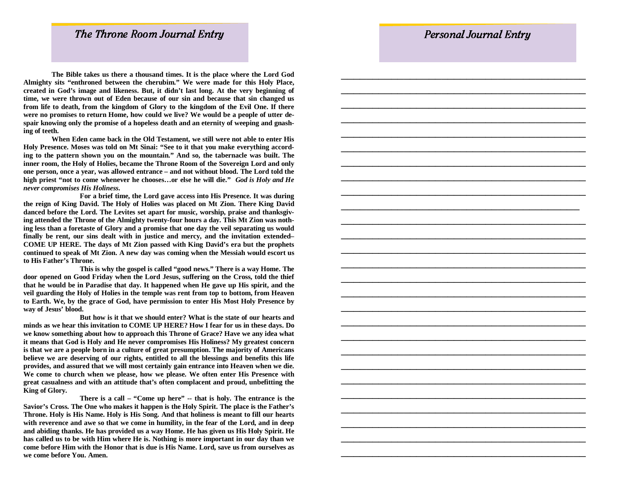\_\_\_\_\_\_\_\_\_\_\_\_\_\_\_\_\_\_\_\_\_\_\_\_\_\_\_\_\_\_\_\_\_\_\_\_\_\_

# The Throne Room Journal Entry

 **The Bible takes us there a thousand times. It is the place where the Lord God Almighty sits "enthroned between the cherubim." We were made for this Holy Place, created in God's image and likeness. But, it didn't last long. At the very beginning of time, we were thrown out of Eden because of our sin and because that sin changed us from life to death, from the kingdom of Glory to the kingdom of the Evil One. If there were no promises to return Home, how could we live? We would be a people of utter despair knowing only the promise of a hopeless death and an eternity of weeping and gnashing of teeth.** 

 **When Eden came back in the Old Testament, we still were not able to enter His Holy Presence. Moses was told on Mt Sinai: "See to it that you make everything according to the pattern shown you on the mountain." And so, the tabernacle was built. The inner room, the Holy of Holies, became the Throne Room of the Sovereign Lord and only one person, once a year, was allowed entrance – and not without blood. The Lord told the high priest "not to come whenever he chooses…or else he will die."** *God is Holy and He never compromises His Holiness.* 

 **For a brief time, the Lord gave access into His Presence. It was during the reign of King David. The Holy of Holies was placed on Mt Zion. There King David danced before the Lord. The Levites set apart for music, worship, praise and thanksgiving attended the Throne of the Almighty twenty-four hours a day. This Mt Zion was nothing less than a foretaste of Glory and a promise that one day the veil separating us would finally be rent, our sins dealt with in justice and mercy, and the invitation extended– COME UP HERE. The days of Mt Zion passed with King David's era but the prophets continued to speak of Mt Zion. A new day was coming when the Messiah would escort us to His Father's Throne.** 

 **This is why the gospel is called "good news." There is a way Home. The door opened on Good Friday when the Lord Jesus, suffering on the Cross, told the thief that he would be in Paradise that day. It happened when He gave up His spirit, and the veil guarding the Holy of Holies in the temple was rent from top to bottom, from Heaven to Earth. We, by the grace of God, have permission to enter His Most Holy Presence by way of Jesus' blood.** 

 **But how is it that we should enter? What is the state of our hearts and minds as we hear this invitation to COME UP HERE? How I fear for us in these days. Do we know something about how to approach this Throne of Grace? Have we any idea what it means that God is Holy and He never compromises His Holiness? My greatest concern is that we are a people born in a culture of great presumption. The majority of Americans believe we are deserving of our rights, entitled to all the blessings and benefits this life provides, and assured that we will most certainly gain entrance into Heaven when we die. We come to church when we please, how we please. We often enter His Presence with great casualness and with an attitude that's often complacent and proud, unbefitting the King of Glory.** 

 **There is a call – "Come up here" -- that is holy. The entrance is the Savior's Cross. The One who makes it happen is the Holy Spirit. The place is the Father's Throne. Holy is His Name. Holy is His Song. And that holiness is meant to fill our hearts with reverence and awe so that we come in humility, in the fear of the Lord, and in deep and abiding thanks. He has provided us a way Home. He has given us His Holy Spirit. He has called us to be with Him where He is. Nothing is more important in our day than we come before Him with the Honor that is due is His Name. Lord, save us from ourselves as we come before You. Amen.**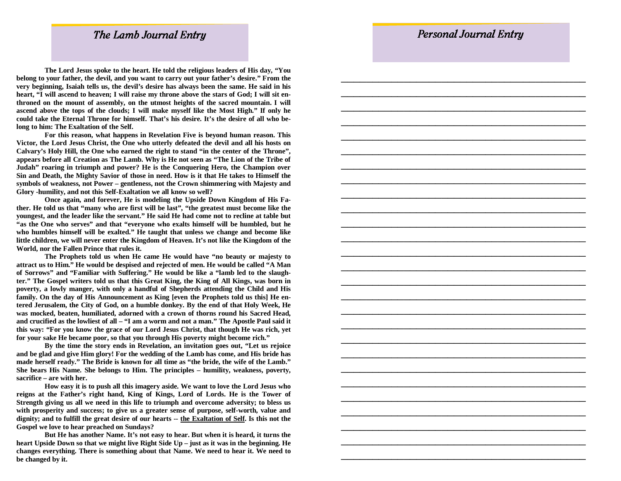\_\_\_\_\_\_\_\_\_\_\_\_\_\_\_\_\_\_\_\_\_\_\_\_\_\_\_\_\_\_\_\_\_\_\_\_\_\_\_

## The Lamb Journal Entry

 **The Lord Jesus spoke to the heart. He told the religious leaders of His day, "You belong to your father, the devil, and you want to carry out your father's desire." From the very beginning, Isaiah tells us, the devil's desire has always been the same. He said in his**  heart, "I will ascend to heaven; I will raise my throne above the stars of God; I will sit en**throned on the mount of assembly, on the utmost heights of the sacred mountain. I will ascend above the tops of the clouds; I will make myself like the Most High." If only he could take the Eternal Throne for himself. That's his desire. It's the desire of all who belong to him: The Exaltation of the Self.** 

 **For this reason, what happens in Revelation Five is beyond human reason. This Victor, the Lord Jesus Christ, the One who utterly defeated the devil and all his hosts on Calvary's Holy Hill, the One who earned the right to stand "in the center of the Throne", appears before all Creation as The Lamb. Why is He not seen as "The Lion of the Tribe of Judah" roaring in triumph and power? He is the Conquering Hero, the Champion over Sin and Death, the Mighty Savior of those in need. How is it that He takes to Himself the symbols of weakness, not Power – gentleness, not the Crown shimmering with Majesty and Glory -humility, and not this Self-Exaltation we all know so well?** 

 **Once again, and forever, He is modeling the Upside Down Kingdom of His Father. He told us that "many who are first will be last", "the greatest must become like the youngest, and the leader like the servant." He said He had come not to recline at table but "as the One who serves" and that "everyone who exalts himself will be humbled, but he who humbles himself will be exalted." He taught that unless we change and become like little children, we will never enter the Kingdom of Heaven. It's not like the Kingdom of the World, nor the Fallen Prince that rules it.** 

 **The Prophets told us when He came He would have "no beauty or majesty to attract us to Him." He would be despised and rejected of men. He would be called "A Man of Sorrows" and "Familiar with Suffering." He would be like a "lamb led to the slaughter." The Gospel writers told us that this Great King, the King of All Kings, was born in poverty, a lowly manger, with only a handful of Shepherds attending the Child and His family. On the day of His Announcement as King [even the Prophets told us this] He entered Jerusalem, the City of God, on a humble donkey. By the end of that Holy Week, He was mocked, beaten, humiliated, adorned with a crown of thorns round his Sacred Head, and crucified as the lowliest of all – "I am a worm and not a man." The Apostle Paul said it this way: "For you know the grace of our Lord Jesus Christ, that though He was rich, yet for your sake He became poor, so that you through His poverty might become rich."** 

 **By the time the story ends in Revelation, an invitation goes out, "Let us rejoice and be glad and give Him glory! For the wedding of the Lamb has come, and His bride has made herself ready." The Bride is known for all time as "the bride, the wife of the Lamb." She bears His Name. She belongs to Him. The principles – humility, weakness, poverty, sacrifice – are with her.** 

 **How easy it is to push all this imagery aside. We want to love the Lord Jesus who reigns at the Father's right hand, King of Kings, Lord of Lords. He is the Tower of Strength giving us all we need in this life to triumph and overcome adversity; to bless us with prosperity and success; to give us a greater sense of purpose, self-worth, value and dignity; and to fulfill the great desire of our hearts -- the Exaltation of Self. Is this not the Gospel we love to hear preached on Sundays?** 

 **But He has another Name. It's not easy to hear. But when it is heard, it turns the heart Upside Down so that we might live Right Side Up – just as it was in the beginning. He changes everything. There is something about that Name. We need to hear it. We need to be changed by it.**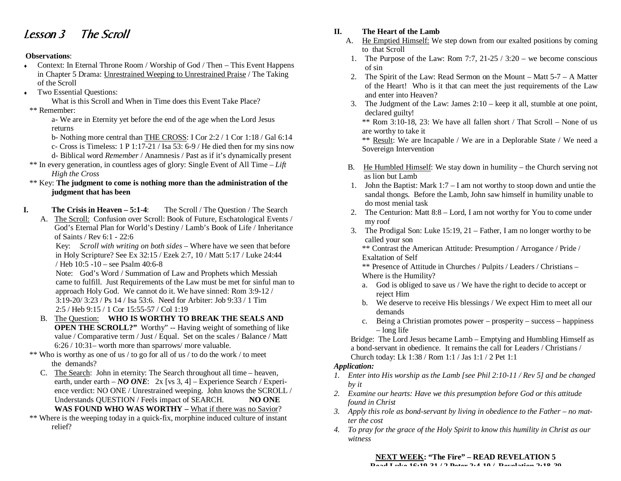# Lesson 3 The Scroll

#### **Observations**:

- $\bullet$  Context: In Eternal Throne Room / Worship of God / Then This Event Happens in Chapter 5 Drama: Unrestrained Weeping to Unrestrained Praise / The Taking of the Scroll
- Two Essential Questions:

What is this Scroll and When in Time does this Event Take Place?

\*\* Remember:

 a- We are in Eternity yet before the end of the age when the Lord Jesus returns

- b- Nothing more central than THE CROSS: I Cor 2:2 / 1 Cor 1:18 / Gal 6:14
- c- Cross is Timeless: 1 P 1:17-21 / Isa 53: 6-9 / He died then for my sins now
- d- Biblical word *Remember* / Anamnesis / Past as if it's dynamically present
- \*\* In every generation, in countless ages of glory: Single Event of All Time *Lift High the Cross*

 \*\* Key: **The judgment to come is nothing more than the administration of the judgment that has been** 

- **I. The Crisis in Heaven 5:1-4**: The Scroll / The Question / The Search
	- A. The Scroll: Confusion over Scroll: Book of Future, Eschatological Events / God's Eternal Plan for World's Destiny / Lamb's Book of Life / Inheritance of Saints / Rev 6:1 - 22:6

 Key: *Scroll with writing on both sides* – Where have we seen that before in Holy Scripture? See Ex 32:15 / Ezek 2:7, 10 / Matt 5:17 / Luke 24:44 / Heb 10:5 -10 – see Psalm 40:6-8

 Note: God's Word / Summation of Law and Prophets which Messiah came to fulfill. Just Requirements of the Law must be met for sinful man to approach Holy God. We cannot do it. We have sinned: Rom 3:9-12 / 3:19-20/ 3:23 / Ps 14 / Isa 53:6. Need for Arbiter: Job 9:33 / 1 Tim 2:5 / Heb 9:15 / 1 Cor 15:55-57 / Col 1:19

- B. The Question: **WHO IS WORTHY TO BREAK THE SEALS AND OPEN THE SCROLL?"** Worthy" -- Having weight of something of like value / Comparative term / Just / Equal. Set on the scales / Balance / Matt 6:26 / 10:31– worth more than sparrows/ more valuable.
- \*\* Who is worthy as one of us / to go for all of us / to do the work / to meet the demands?
	- C. The Search: John in eternity: The Search throughout all time heaven, earth, under earth – *NO ONE*: 2x [vs 3, 4] – Experience Search / Experience verdict: NO ONE / Unrestrained weeping. John knows the SCROLL / Understands QUESTION / Feels impact of SEARCH. **NO ONE WAS FOUND WHO WAS WORTHY –** What if there was no Savior?
- \*\* Where is the weeping today in a quick-fix, morphine induced culture of instant relief?

## **II. The Heart of the Lamb**

- A. He Emptied Himself: We step down from our exalted positions by coming to that Scroll
- 1. The Purpose of the Law: Rom 7:7,  $21-25/3:20$  we become conscious of sin
- 2. The Spirit of the Law: Read Sermon on the Mount Matt 5-7 A Matter of the Heart! Who is it that can meet the just requirements of the Law and enter into Heaven?
- 3. The Judgment of the Law: James 2:10 keep it all, stumble at one point, declared guilty!

 $**$  Rom 3:10-18, 23: We have all fallen short / That Scroll – None of us are worthy to take it

 \*\* Result: We are Incapable / We are in a Deplorable State / We need a Sovereign Intervention

- B. He Humbled Himself: We stay down in humility the Church serving not as lion but Lamb
- 1. John the Baptist: Mark 1:7 I am not worthy to stoop down and untie the sandal thongs. Before the Lamb, John saw himself in humility unable to do most menial task
- 2. The Centurion: Matt 8:8 Lord, I am not worthy for You to come under my roof
- 3. The Prodigal Son: Luke 15:19, 21 Father, I am no longer worthy to be called your son

 \*\* Contrast the American Attitude: Presumption / Arrogance / Pride / Exaltation of Self

- \*\* Presence of Attitude in Churches / Pulpits / Leaders / Christians Where is the Humility?
- a. God is obliged to save us / We have the right to decide to accept or reject Him
- b. We deserve to receive His blessings / We expect Him to meet all our demands
- c. Being a Christian promotes power prosperity success happiness – long life

Bridge: The Lord Jesus became Lamb – Emptying and Humbling Himself as a bond-servant in obedience. It remains the call for Leaders / Christians / Church today: Lk 1:38 / Rom 1:1 / Jas 1:1 / 2 Pet 1:1

## *Application:*

- *1. Enter into His worship as the Lamb [see Phil 2:10-11 / Rev 5] and be changed by it*
- *2. Examine our hearts: Have we this presumption before God or this attitude found in Christ*
- *3. Apply this role as bond-servant by living in obedience to the Father no matter the cost*
- *4. To pray for the grace of the Holy Spirit to know this humility in Christ as our witness*

**NEXT WEEK: "The Fire" – READ REVELATION 5**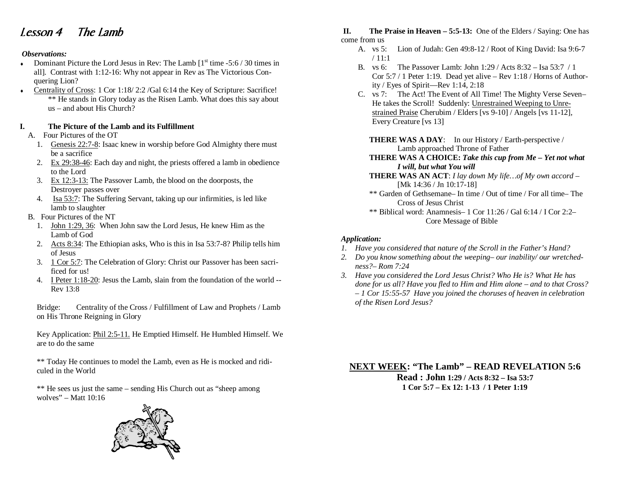# Lesson 4 The Lamb

#### *Observations:*

- Dominant Picture the Lord Jesus in Rev: The Lamb  $1^{st}$  time -5:6 / 30 times in all]. Contrast with 1:12-16: Why not appear in Rev as The Victorious Conquering Lion?
- Centrality of Cross: 1 Cor 1:18/2:2 /Gal 6:14 the Key of Scripture: Sacrifice! \*\* He stands in Glory today as the Risen Lamb. What does this say about us – and about His Church?

#### **I. The Picture of the Lamb and its Fulfillment**

- A. Four Pictures of the OT
	- 1. Genesis 22:7-8: Isaac knew in worship before God Almighty there must be a sacrifice
	- 2. Ex 29:38-46: Each day and night, the priests offered a lamb in obedience to the Lord
	- 3. Ex 12:3-13: The Passover Lamb, the blood on the doorposts, the Destroyer passes over
	- 4. Isa 53:7: The Suffering Servant, taking up our infirmities, is led like lamb to slaughter
- B. Four Pictures of the NT
	- 1. John 1:29, 36: When John saw the Lord Jesus, He knew Him as the Lamb of God
	- 2. Acts 8:34: The Ethiopian asks, Who is this in Isa 53:7-8? Philip tells him of Jesus
	- 3. 1 Cor 5:7: The Celebration of Glory: Christ our Passover has been sacrificed for us!
	- 4. I Peter 1:18-20: Jesus the Lamb, slain from the foundation of the world -- Rev 13:8

Bridge: Centrality of the Cross / Fulfillment of Law and Prophets / Lamb on His Throne Reigning in Glory

Key Application: Phil 2:5-11. He Emptied Himself. He Humbled Himself. We are to do the same

\*\* Today He continues to model the Lamb, even as He is mocked and ridiculed in the World

\*\* He sees us just the same – sending His Church out as "sheep among wolves" – Matt 10:16



#### **II. The Praise in Heaven – 5:5-13:** One of the Elders / Saying: One has come from us

- A. vs 5: Lion of Judah: Gen 49:8-12 / Root of King David: Isa 9:6-7 / 11:1
- B. vs 6: The Passover Lamb: John 1:29 / Acts 8:32 Isa 53:7 / 1 Cor 5:7 / 1 Peter 1:19. Dead yet alive – Rev 1:18 / Horns of Authority / Eyes of Spirit—Rev 1:14, 2:18
- C. vs 7: The Act! The Event of All Time! The Mighty Verse Seven– He takes the Scroll! Suddenly: Unrestrained Weeping to Unrestrained Praise Cherubim / Elders [vs 9-10] / Angels [vs 11-12], Every Creature [vs 13]
	- **THERE WAS A DAY**: In our History / Earth-perspective / Lamb approached Throne of Father
	- **THERE WAS A CHOICE:** *Take this cup from Me Yet not what I will, but what You will*
	- **THERE WAS AN ACT**: *I lay down My life…of My own accord*  [Mk 14:36 / Jn 10:17-18]
	- \*\* Garden of Gethsemane– In time / Out of time / For all time– The Cross of Jesus Christ
	- \*\* Biblical word: Anamnesis– 1 Cor 11:26 / Gal 6:14 / I Cor 2:2– Core Message of Bible

#### *Application:*

- *1. Have you considered that nature of the Scroll in the Father's Hand?*
- *2. Do you know something about the weeping– our inability/ our wretchedness?– Rom 7:24*
- *3. Have you considered the Lord Jesus Christ? Who He is? What He has done for us all? Have you fled to Him and Him alone – and to that Cross? – 1 Cor 15:55-57 Have you joined the choruses of heaven in celebration of the Risen Lord Jesus?*

**NEXT WEEK: "The Lamb" – READ REVELATION 5:6** 

**Read : John 1:29 / Acts 8:32 – Isa 53:7 1 Cor 5:7 – Ex 12: 1-13 / 1 Peter 1:19**